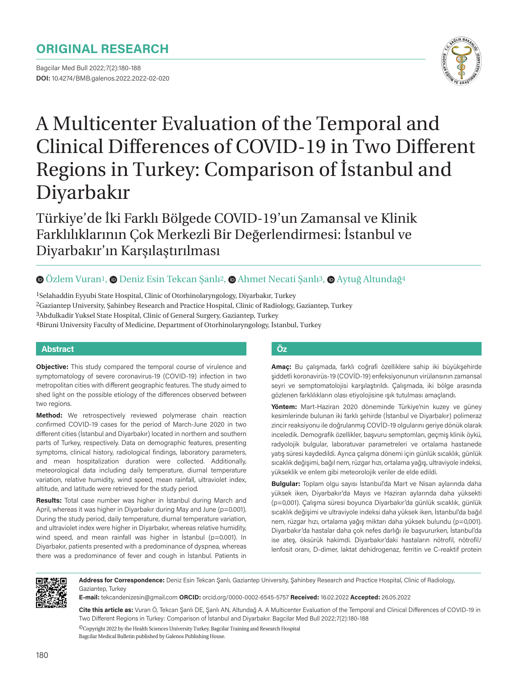# **ORIGINAL RESEARCH**

Bagcilar Med Bull 2022;7(2):180-188 **DOI:** 10.4274/BMB.galenos.2022.2022-02-020



# A Multicenter Evaluation of the Temporal and Clinical Differences of COVID-19 in Two Different Regions in Turkey: Comparison of İstanbul and Diyarbakır

Türkiye'de İki Farklı Bölgede COVID-19'un Zamansal ve Klinik Farklılıklarının Çok Merkezli Bir Değerlendirmesi: İstanbul ve Diyarbakır'ın Karşılaştırılması

# $\bullet$ Özlem Vuran<sup>1</sup>,  $\bullet$  [D](https://orcid.org/0000-0002-6545-5757)eniz Esin Tekcan Sanlı<sup>2</sup>,  $\bullet$  Ahmet Necati Sanlı<sup>3</sup>,  $\bullet$  Aytuğ Altundağ<sup>4</sup>

1Selahaddin Eyyubi State Hospital, Clinic of Otorhinolaryngology, Diyarbakır, Turkey 2Gaziantep University, Şahinbey Research and Practice Hospital, Clinic of Radiology, Gaziantep, Turkey 3Abdulkadir Yuksel State Hospital, Clinic of General Surgery, Gaziantep, Turkey 4Biruni University Faculty of Medicine, Department of Otorhinolaryngology, İstanbul, Turkey

## **Abstract Öz**

**Objective:** This study compared the temporal course of virulence and symptomatology of severe coronavirus-19 (COVID-19) infection in two metropolitan cities with different geographic features. The study aimed to shed light on the possible etiology of the differences observed between two regions.

**Method:** We retrospectively reviewed polymerase chain reaction confirmed COVID-19 cases for the period of March-June 2020 in two different cities (İstanbul and Diyarbakır) located in northern and southern parts of Turkey, respectively. Data on demographic features, presenting symptoms, clinical history, radiological findings, laboratory parameters, and mean hospitalization duration were collected. Additionally, meteorological data including daily temperature, diurnal temperature variation, relative humidity, wind speed, mean rainfall, ultraviolet index, altitude, and latitude were retrieved for the study period.

**Results:** Total case number was higher in İstanbul during March and April, whereas it was higher in Diyarbakır during May and June (p=0.001). During the study period, daily temperature, diurnal temperature variation, and ultraviolet index were higher in Diyarbakır, whereas relative humidity, wind speed, and mean rainfall was higher in *istanbul* (p=0.001). In Diyarbakır, patients presented with a predominance of dyspnea, whereas there was a predominance of fever and cough in İstanbul. Patients in

**Amaç:** Bu çalışmada, farklı coğrafi özelliklere sahip iki büyükşehirde şiddetli koronavirüs-19 (COVİD-19) enfeksiyonunun virülansının zamansal seyri ve semptomatolojisi karşılaştırıldı. Çalışmada, iki bölge arasında gözlenen farklılıkların olası etiyolojisine ışık tutulması amaçlandı.

**Yöntem:** Mart-Haziran 2020 döneminde Türkiye'nin kuzey ve güney kesimlerinde bulunan iki farklı şehirde (İstanbul ve Diyarbakır) polimeraz zincir reaksiyonu ile doğrulanmış COVİD-19 olgularını geriye dönük olarak inceledik. Demografik özellikler, başvuru semptomları, geçmiş klinik öykü, radyolojik bulgular, laboratuvar parametreleri ve ortalama hastanede yatış süresi kaydedildi. Ayrıca çalışma dönemi için günlük sıcaklık, günlük sıcaklık değişimi, bağıl nem, rüzgar hızı, ortalama yağış, ultraviyole indeksi, yükseklik ve enlem gibi meteorolojik veriler de elde edildi.

**Bulgular:** Toplam olgu sayısı İstanbul'da Mart ve Nisan aylarında daha yüksek iken, Diyarbakır'da Mayıs ve Haziran aylarında daha yüksekti (p=0,001). Çalışma süresi boyunca Diyarbakır'da günlük sıcaklık, günlük sıcaklık değişimi ve ultraviyole indeksi daha yüksek iken, İstanbul'da bağıl nem, rüzgar hızı, ortalama yağış miktarı daha yüksek bulundu (p=0,001). Diyarbakır'da hastalar daha çok nefes darlığı ile başvururken, İstanbul'da ise ateş, öksürük hakimdi. Diyarbakır'daki hastaların nötrofil, nötrofil/ lenfosit oranı, D-dimer, laktat dehidrogenaz, ferritin ve C-reaktif protein



**Address for Correspondence:** Deniz Esin Tekcan Şanlı, Gaziantep University, Şahinbey Research and Practice Hospital, Clinic of Radiology, Gaziantep, Turkey

**E-mail:** tekcandenizesin@gmail.com **ORCID:** orcid.org/0000-0002-6545-5757 **Received:** 16.02.2022 **Accepted:** 26.05.2022

**Cite this article as:** Vuran Ö, Tekcan Şanlı DE, Şanlı AN, Altundağ A. A Multicenter Evaluation of the Temporal and Clinical Differences of COVID-19 in Two Different Regions in Turkey: Comparison of İstanbul and Diyarbakır. Bagcilar Med Bull 2022;7(2):180-188

©Copyright 2022 by the Health Sciences University Turkey, Bagcilar Training and Research Hospital Bagcilar Medical Bulletin published by Galenos Publishing House.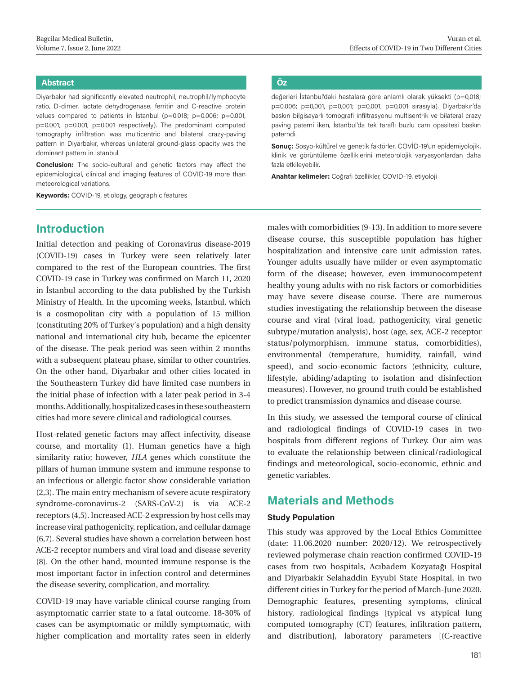# **Abstract Öz**

Diyarbakır had significantly elevated neutrophil, neutrophil/lymphocyte ratio, D-dimer, lactate dehydrogenase, ferritin and C-reactive protein values compared to patients in İstanbul (p=0.018; p=0.006; p=0.001, p=0.001; p=0.001, p=0.001 respectively). The predominant computed tomography infiltration was multicentric and bilateral crazy-paving pattern in Diyarbakır, whereas unilateral ground-glass opacity was the dominant pattern in İstanbul.

**Conclusion:** The socio-cultural and genetic factors may affect the epidemiological, clinical and imaging features of COVID-19 more than meteorological variations.

**Keywords:** COVID-19, etiology, geographic features

# **Introduction**

Initial detection and peaking of Coronavirus disease-2019 (COVID-19) cases in Turkey were seen relatively later compared to the rest of the European countries. The first COVID-19 case in Turkey was confirmed on March 11, 2020 in İstanbul according to the data published by the Turkish Ministry of Health. In the upcoming weeks, İstanbul, which is a cosmopolitan city with a population of 15 million (constituting 20% of Turkey's population) and a high density national and international city hub, became the epicenter of the disease. The peak period was seen within 2 months with a subsequent plateau phase, similar to other countries. On the other hand, Diyarbakır and other cities located in the Southeastern Turkey did have limited case numbers in the initial phase of infection with a later peak period in 3-4 months. Additionally, hospitalized cases in these southeastern cities had more severe clinical and radiological courses.

Host-related genetic factors may affect infectivity, disease course, and mortality (1). Human genetics have a high similarity ratio; however, *HLA* genes which constitute the pillars of human immune system and immune response to an infectious or allergic factor show considerable variation (2,3). The main entry mechanism of severe acute respiratory syndrome-coronavirus-2 (SARS-CoV-2) is via ACE-2 receptors (4,5). Increased ACE-2 expression by host cells may increase viral pathogenicity, replication, and cellular damage (6,7). Several studies have shown a correlation between host ACE-2 receptor numbers and viral load and disease severity (8). On the other hand, mounted immune response is the most important factor in infection control and determines the disease severity, complication, and mortality.

COVID-19 may have variable clinical course ranging from asymptomatic carrier state to a fatal outcome. 18-30% of cases can be asymptomatic or mildly symptomatic, with higher complication and mortality rates seen in elderly

değerleri İstanbul'daki hastalara göre anlamlı olarak yüksekti (p=0,018; p=0,006; p=0,001, p=0,001; p=0,001, p=0,001 sırasıyla). Diyarbakır'da baskın bilgisayarlı tomografi infiltrasyonu multisentrik ve bilateral crazy paving paterni iken, İstanbul'da tek taraflı buzlu cam opasitesi baskın paterndi.

**Sonuç:** Sosyo-kültürel ve genetik faktörler, COVİD-19'un epidemiyolojik, klinik ve görüntüleme özelliklerini meteorolojik varyasyonlardan daha fazla etkileyebilir.

**Anahtar kelimeler:** Coğrafi özellikler, COVID-19, etiyoloji

males with comorbidities (9-13). In addition to more severe disease course, this susceptible population has higher hospitalization and intensive care unit admission rates. Younger adults usually have milder or even asymptomatic form of the disease; however, even immunocompetent healthy young adults with no risk factors or comorbidities may have severe disease course. There are numerous studies investigating the relationship between the disease course and viral (viral load, pathogenicity, viral genetic subtype/mutation analysis), host (age, sex, ACE-2 receptor status/polymorphism, immune status, comorbidities), environmental (temperature, humidity, rainfall, wind speed), and socio-economic factors (ethnicity, culture, lifestyle, abiding/adapting to isolation and disinfection measures). However, no ground truth could be established to predict transmission dynamics and disease course.

In this study, we assessed the temporal course of clinical and radiological findings of COVID-19 cases in two hospitals from different regions of Turkey. Our aim was to evaluate the relationship between clinical/radiological findings and meteorological, socio-economic, ethnic and genetic variables.

# **Materials and Methods**

# **Study Population**

This study was approved by the Local Ethics Committee (date: 11.06.2020 number: 2020/12). We retrospectively reviewed polymerase chain reaction confirmed COVID-19 cases from two hospitals, Acıbadem Kozyatağı Hospital and Diyarbakir Selahaddin Eyyubi State Hospital, in two different cities in Turkey for the period of March-June 2020. Demographic features, presenting symptoms, clinical history, radiological findings [typical vs atypical lung computed tomography (CT) features, infiltration pattern, and distribution], laboratory parameters [(C-reactive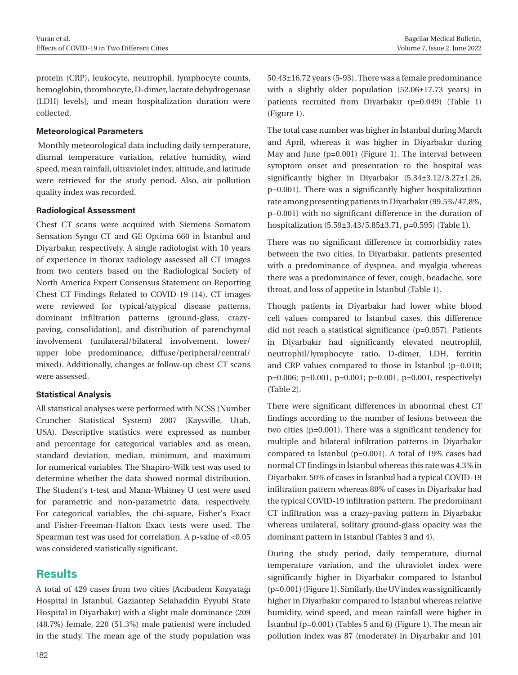protein (CRP), leukocyte, neutrophil, lymphocyte counts, hemoglobin, thrombocyte, D-dimer, lactate dehydrogenase (LDH) levels], and mean hospitalization duration were collected.

## **Meteorological Parameters**

 Monthly meteorological data including daily temperature, diurnal temperature variation, relative humidity, wind speed, mean rainfall, ultraviolet index, altitude, and latitude were retrieved for the study period. Also, air pollution quality index was recorded.

#### **Radiological Assessment**

Chest CT scans were acquired with Siemens Somatom Sensation-Syngo CT and GE Optima 660 in İstanbul and Diyarbakır, respectively. A single radiologist with 10 years of experience in thorax radiology assessed all CT images from two centers based on the Radiological Society of North America Expert Consensus Statement on Reporting Chest CT Findings Related to COVID-19 (14). CT images were reviewed for typical/atypical disease patterns, dominant infiltration patterns (ground-glass, crazypaving, consolidation), and distribution of parenchymal involvement (unilateral/bilateral involvement, lower/ upper lobe predominance, diffuse/peripheral/central/ mixed). Additionally, changes at follow-up chest CT scans were assessed.

## **Statistical Analysis**

All statistical analyses were performed with NCSS (Number Cruncher Statistical System) 2007 (Kaysville, Utah, USA). Descriptive statistics were expressed as number and percentage for categorical variables and as mean, standard deviation, median, minimum, and maximum for numerical variables. The Shapiro-Wilk test was used to determine whether the data showed normal distribution. The Student's t-test and Mann-Whitney U test were used for parametric and non-parametric data, respectively. For categorical variables, the chi-square, Fisher's Exact and Fisher-Freeman-Halton Exact tests were used. The Spearman test was used for correlation. A p-value of <0.05 was considered statistically significant.

# **Results**

A total of 429 cases from two cities (Acıbadem Kozyatağı Hospital in İstanbul, Gaziantep Selahaddin Eyyubi State Hospital in Diyarbakır) with a slight male dominance (209 (48.7%) female, 220 (51.3%) male patients) were included in the study. The mean age of the study population was

50.43±16.72 years (5-93). There was a female predominance with a slightly older population (52.06±17.73 years) in patients recruited from Diyarbakır (p=0.049) (Table 1) (Figure 1).

The total case number was higher in İstanbul during March and April, whereas it was higher in Diyarbakır during May and June (p=0.001) (Figure 1). The interval between symptom onset and presentation to the hospital was significantly higher in Diyarbakır (5.34±3.12/3.27±1.26, p=0.001). There was a significantly higher hospitalization rate among presenting patients in Diyarbakır (99.5%/47.8%, p=0.001) with no significant difference in the duration of hospitalization (5.59±3.43/5.85±3.71, p=0.595) (Table 1).

There was no significant difference in comorbidity rates between the two cities. In Diyarbakır, patients presented with a predominance of dyspnea, and myalgia whereas there was a predominance of fever, cough, headache, sore throat, and loss of appetite in İstanbul (Table 1).

Though patients in Diyarbakır had lower white blood cell values compared to İstanbul cases, this difference did not reach a statistical significance (p=0.057). Patients in Diyarbakır had significantly elevated neutrophil, neutrophil/lymphocyte ratio, D-dimer, LDH, ferritin and CRP values compared to those in İstanbul (p=0.018; p=0.006; p=0.001, p=0.001; p=0.001, p=0.001, respectively) (Table 2).

There were significant differences in abnormal chest CT findings according to the number of lesions between the two cities (p=0.001). There was a significant tendency for multiple and bilateral infiltration patterns in Diyarbakır compared to İstanbul (p=0.001). A total of 19% cases had normal CT findings in İstanbul whereas this rate was 4.3% in Diyarbakır. 50% of cases in İstanbul had a typical COVID-19 infiltration pattern whereas 88% of cases in Diyarbakır had the typical COVID-19 infiltration pattern. The predominant CT infiltration was a crazy-paving pattern in Diyarbakır whereas unilateral, solitary ground-glass opacity was the dominant pattern in Istanbul (Tables 3 and 4).

During the study period, daily temperature, diurnal temperature variation, and the ultraviolet index were significantly higher in Diyarbakır compared to İstanbul (p=0.001) (Figure 1). Similarly, the UV index was significantly higher in Diyarbakır compared to İstanbul whereas relative humidity, wind speed, and mean rainfall were higher in İstanbul (p=0.001) (Tables 5 and 6) (Figure 1). The mean air pollution index was 87 (moderate) in Diyarbakır and 101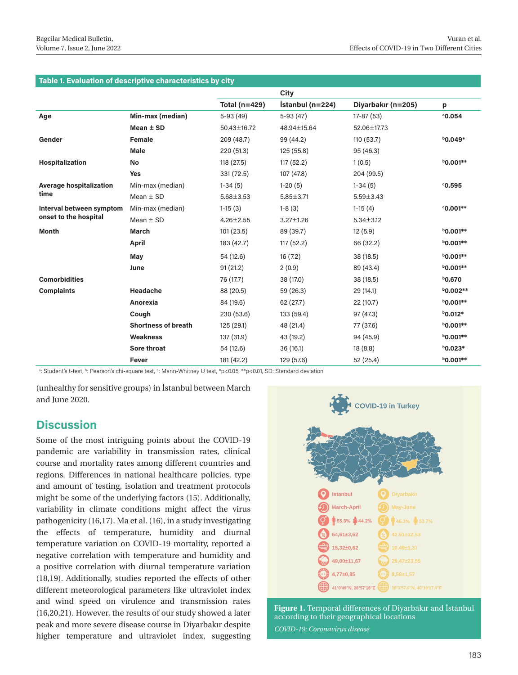| Table 1. Evaluation of descriptive characteristics by city |  |  |
|------------------------------------------------------------|--|--|
|                                                            |  |  |

|                                |                            |                 | City             |                    |                 |
|--------------------------------|----------------------------|-----------------|------------------|--------------------|-----------------|
|                                |                            | Total (n=429)   | İstanbul (n=224) | Diyarbakır (n=205) | p               |
| Age                            | Min-max (median)           | $5-93(49)$      | $5-93(47)$       | $17-87(53)$        | 0.054           |
|                                | Mean $±$ SD                | 50.43±16.72     | 48.94±15.64      | 52.06±17.73        |                 |
| Gender                         | <b>Female</b>              | 209 (48.7)      | 99 (44.2)        | 110 (53.7)         | $b$ 0.049*      |
|                                | <b>Male</b>                | 220 (51.3)      | 125 (55.8)       | 95 (46.3)          |                 |
| Hospitalization                | No                         | 118 (27.5)      | 117(52.2)        | 1(0.5)             | $b$ 0.001**     |
|                                | <b>Yes</b>                 | 331 (72.5)      | 107 (47.8)       | 204 (99.5)         |                 |
| <b>Average hospitalization</b> | Min-max (median)           | $1-34(5)$       | $1-20(5)$        | $1-34(5)$          | °0.595          |
| time                           | Mean $\pm$ SD              | $5.68 \pm 3.53$ | $5.85 \pm 3.71$  | $5.59 \pm 3.43$    |                 |
| Interval between symptom       | Min-max (median)           | $1-15(3)$       | $1-8(3)$         | $1-15(4)$          | $°0.001**$      |
| onset to the hospital          | Mean $\pm$ SD              | $4.26 \pm 2.55$ | $3.27 \pm 1.26$  | $5.34 \pm 3.12$    |                 |
| <b>Month</b>                   | <b>March</b>               | 101(23.5)       | 89 (39.7)        | 12(5.9)            | $b$ 0.001**     |
|                                | <b>April</b>               | 183 (42.7)      | 117(52.2)        | 66 (32.2)          | $b$ 0.001**     |
|                                | May                        | 54 (12.6)       | 16(7.2)          | 38 (18.5)          | $b$ 0.001**     |
|                                | June                       | 91(21.2)        | 2(0.9)           | 89 (43.4)          | $b$ 0.001**     |
| <b>Comorbidities</b>           |                            | 76 (17.7)       | 38 (17.0)        | 38 (18.5)          | <b>b0.670</b>   |
| <b>Complaints</b>              | <b>Headache</b>            | 88 (20.5)       | 59 (26.3)        | 29 (14.1)          | <b>b0.002**</b> |
|                                | Anorexia                   | 84 (19.6)       | 62 (27.7)        | 22 (10.7)          | $b$ 0.001**     |
|                                | Cough                      | 230 (53.6)      | 133 (59.4)       | 97 (47.3)          | $b$ 0.012*      |
|                                | <b>Shortness of breath</b> | 125 (29.1)      | 48 (21.4)        | 77 (37.6)          | $b$ 0.001**     |
|                                | <b>Weakness</b>            | 137 (31.9)      | 43 (19.2)        | 94 (45.9)          | $b$ 0.001**     |
|                                | Sore throat                | 54 (12.6)       | 36(16.1)         | 18(8.8)            | $b$ 0.023*      |
|                                | Fever                      | 181 (42.2)      | 129 (57.6)       | 52 (25.4)          | $b$ 0.001**     |

ª: Student′s t-test, ʰ: Pearson′s chi-square test, º: Mann-Whitney U test, \*p<0.05, \*\*p<0.01, SD: Standard deviation

(unhealthy for sensitive groups) in İstanbul between March and June 2020.

# **Discussion**

Some of the most intriguing points about the COVID-19 pandemic are variability in transmission rates, clinical course and mortality rates among different countries and regions. Differences in national healthcare policies, type and amount of testing, isolation and treatment protocols might be some of the underlying factors (15). Additionally, variability in climate conditions might affect the virus pathogenicity (16,17). Ma et al. (16), in a study investigating the effects of temperature, humidity and diurnal temperature variation on COVID-19 mortality, reported a negative correlation with temperature and humidity and a positive correlation with diurnal temperature variation (18,19). Additionally, studies reported the effects of other different meteorological parameters like ultraviolet index and wind speed on virulence and transmission rates (16,20,21). However, the results of our study showed a later peak and more severe disease course in Diyarbakır despite higher temperature and ultraviolet index, suggesting



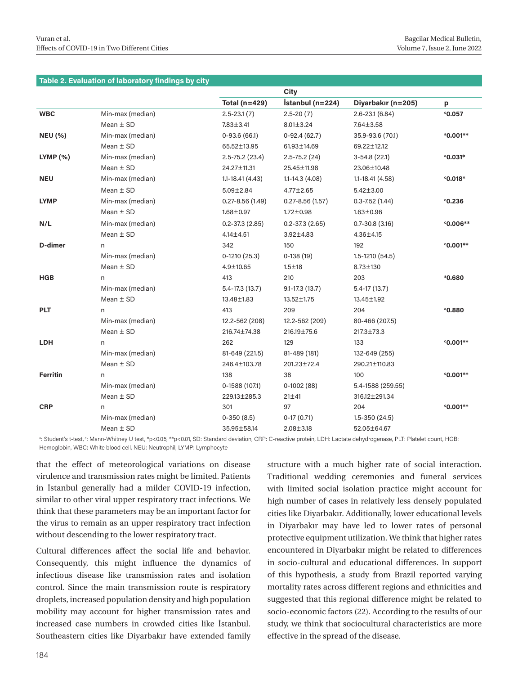#### **Table 2. Evaluation of laboratory findings by city**

|                 |                  |                      | City                |                     |                      |
|-----------------|------------------|----------------------|---------------------|---------------------|----------------------|
|                 |                  | <b>Total (n=429)</b> | İstanbul (n=224)    | Diyarbakır (n=205)  | p                    |
| <b>WBC</b>      | Min-max (median) | $2.5 - 23.1(7)$      | $2.5 - 20(7)$       | $2.6 - 23.1(6.84)$  | °0.057               |
|                 | Mean $\pm$ SD    | 7.83±3.41            | $8.01 \pm 3.24$     | 7.64±3.58           |                      |
| <b>NEU (%)</b>  | Min-max (median) | $0-93.6(66.1)$       | $0-92.4(62.7)$      | 35.9-93.6 (70.1)    | <sup>a</sup> 0.001** |
|                 | Mean $\pm$ SD    | 65.52±13.95          | 61.93±14.69         | 69.22±12.12         |                      |
| $LYMP$ $%$      | Min-max (median) | $2.5 - 75.2$ (23.4)  | $2.5 - 75.2(24)$    | $3-54.8(22.1)$      | $^{\circ}$ 0.031*    |
|                 | Mean $\pm$ SD    | 24.27±11.31          | 25.45±11.98         | 23.06±10.48         |                      |
| <b>NEU</b>      | Min-max (median) | $1.1 - 18.41(4.43)$  | $1.1 - 14.3(4.08)$  | $1.1 - 18.41(4.58)$ | $^{\circ}$ 0.018*    |
|                 | Mean $\pm$ SD    | $5.09 \pm 2.84$      | 4.77±2.65           | $5.42 \pm 3.00$     |                      |
| <b>LYMP</b>     | Min-max (median) | $0.27 - 8.56(1.49)$  | $0.27 - 8.56(1.57)$ | $0.3 - 7.52(1.44)$  | $c$ 0.236            |
|                 | Mean $\pm$ SD    | $1.68 \pm 0.97$      | $1.72 \pm 0.98$     | $1.63 \pm 0.96$     |                      |
| N/L             | Min-max (median) | $0.2 - 37.3(2.85)$   | $0.2 - 37.3(2.65)$  | $0.7 - 30.8$ (3.16) | $0.006**$            |
|                 | Mean $\pm$ SD    | $4.14 \pm 4.51$      | 3.92±4.83           | 4.36±4.15           |                      |
| D-dimer         | n                | 342                  | 150                 | 192                 | $°0.001**$           |
|                 | Min-max (median) | $0-1210(25.3)$       | $0-138(19)$         | $1.5 - 1210(54.5)$  |                      |
|                 | Mean $\pm$ SD    | $4.9 \pm 10.65$      | $1.5 + 18$          | 8.73±130            |                      |
| <b>HGB</b>      | n                | 413                  | 210                 | 203                 | 0.680                |
|                 | Min-max (median) | $5.4 - 17.3(13.7)$   | $9.1 - 17.3(13.7)$  | $5.4 - 17(13.7)$    |                      |
|                 | Mean $\pm$ SD    | 13,48±1.83           | 13.52±1.75          | 13.45±1.92          |                      |
| <b>PLT</b>      | n                | 413                  | 209                 | 204                 | 0.880                |
|                 | Min-max (median) | 12.2-562 (208)       | 12.2-562 (209)      | 80-466 (207.5)      |                      |
|                 | Mean $\pm$ SD    | 216.74±74.38         | 216.19±75.6         | 217.3±73.3          |                      |
| LDH             | n                | 262                  | 129                 | 133                 | $°0.001**$           |
|                 | Min-max (median) | 81-649 (221.5)       | 81-489 (181)        | 132-649 (255)       |                      |
|                 | Mean $\pm$ SD    | 246.4±103.78         | 201.23±72.4         | 290.21±110.83       |                      |
| <b>Ferritin</b> | n                | 138                  | 38                  | 100                 | $°0.001**$           |
|                 | Min-max (median) | 0-1588 (107.1)       | $0-1002(88)$        | 5.4-1588 (259.55)   |                      |
|                 | Mean $\pm$ SD    | 229.13±285.3         | $21 + 41$           | 316.12±291.34       |                      |
| <b>CRP</b>      | n                | 301                  | 97                  | 204                 | $°0.001**$           |
|                 | Min-max (median) | $0-350(8.5)$         | $0-17(0.71)$        | $1.5 - 350(24.5)$   |                      |
|                 | Mean $\pm$ SD    | 35.95±58.14          | $2.08 \pm 3.18$     | 52.05±64.67         |                      |

d: Student's t-test, e: Mann-Whitney U test, \*p<0.05, \*\*p<0.01, SD: Standard deviation, CRP: C-reactive protein, LDH: Lactate dehydrogenase, PLT: Platelet count, HGB: Hemoglobin, WBC: White blood cell, NEU: Neutrophil, LYMP: Lymphocyte

that the effect of meteorological variations on disease virulence and transmission rates might be limited. Patients in İstanbul generally had a milder COVID-19 infection, similar to other viral upper respiratory tract infections. We think that these parameters may be an important factor for the virus to remain as an upper respiratory tract infection without descending to the lower respiratory tract.

Cultural differences affect the social life and behavior. Consequently, this might influence the dynamics of infectious disease like transmission rates and isolation control. Since the main transmission route is respiratory droplets, increased population density and high population mobility may account for higher transmission rates and increased case numbers in crowded cities like İstanbul. Southeastern cities like Diyarbakır have extended family

structure with a much higher rate of social interaction. Traditional wedding ceremonies and funeral services with limited social isolation practice might account for high number of cases in relatively less densely populated cities like Diyarbakır. Additionally, lower educational levels in Diyarbakır may have led to lower rates of personal protective equipment utilization. We think that higher rates encountered in Diyarbakır might be related to differences in socio-cultural and educational differences. In support of this hypothesis, a study from Brazil reported varying mortality rates across different regions and ethnicities and suggested that this regional difference might be related to socio-economic factors (22). According to the results of our study, we think that sociocultural characteristics are more effective in the spread of the disease.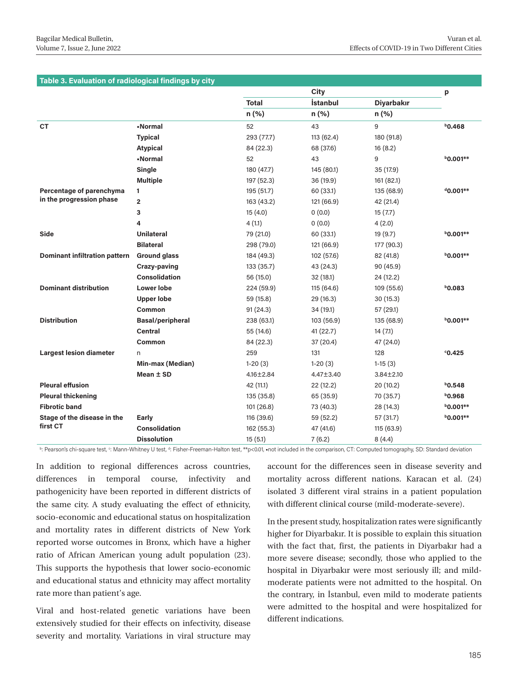#### **Table 3. Evaluation of radiological findings by city**

|                                      |                         |              | City       |                   | p               |
|--------------------------------------|-------------------------|--------------|------------|-------------------|-----------------|
|                                      |                         | <b>Total</b> | İstanbul   | <b>Diyarbakır</b> |                 |
|                                      |                         | n (%)        | n (%)      | n (%)             |                 |
| <b>CT</b>                            | -Normal                 | 52           | 43         | 9                 | $b$ 0.468       |
|                                      | <b>Typical</b>          | 293 (77.7)   | 113 (62.4) | 180 (91.8)        |                 |
|                                      | <b>Atypical</b>         | 84 (22.3)    | 68 (37.6)  | 16(8.2)           |                 |
|                                      | -Normal                 | 52           | 43         | 9                 | <b>b0.001**</b> |
|                                      | Single                  | 180 (47.7)   | 145 (80.1) | 35 (17.9)         |                 |
|                                      | <b>Multiple</b>         | 197 (52.3)   | 36 (19.9)  | 161 (82.1)        |                 |
| Percentage of parenchyma             | 1                       | 195 (51.7)   | 60 (33.1)  | 135 (68.9)        | $40.001**$      |
| in the progression phase             | $\overline{2}$          | 163 (43.2)   | 121 (66.9) | 42 (21.4)         |                 |
|                                      | 3                       | 15(4.0)      | 0(0.0)     | 15(7.7)           |                 |
|                                      | 4                       | 4(1.1)       | 0(0.0)     | 4(2.0)            |                 |
| <b>Side</b>                          | <b>Unilateral</b>       | 79 (21.0)    | 60 (33.1)  | 19 (9.7)          | $b$ 0.001**     |
|                                      | <b>Bilateral</b>        | 298 (79.0)   | 121 (66.9) | 177 (90.3)        |                 |
| <b>Dominant infiltration pattern</b> | <b>Ground glass</b>     | 184 (49.3)   | 102 (57.6) | 82 (41.8)         | $b$ 0.001**     |
|                                      | Crazy-paving            | 133 (35.7)   | 43 (24.3)  | 90(45.9)          |                 |
|                                      | <b>Consolidation</b>    | 56 (15.0)    | 32(18.1)   | 24 (12.2)         |                 |
| <b>Dominant distribution</b>         | <b>Lower lobe</b>       | 224 (59.9)   | 115 (64.6) | 109 (55.6)        | $b$ 0.083       |
|                                      | <b>Upper lobe</b>       | 59 (15.8)    | 29 (16.3)  | 30(15.3)          |                 |
|                                      | Common                  | 91(24.3)     | 34 (19.1)  | 57 (29.1)         |                 |
| <b>Distribution</b>                  | <b>Basal/peripheral</b> | 238 (63.1)   | 103 (56.9) | 135 (68.9)        | <b>b0.001**</b> |
|                                      | Central                 | 55 (14.6)    | 41 (22.7)  | 14(7.1)           |                 |
|                                      | Common                  | 84 (22.3)    | 37 (20.4)  | 47 (24.0)         |                 |
| <b>Largest lesion diameter</b>       | n                       | 259          | 131        | 128               | 0.425           |
|                                      | Min-max (Median)        | $1-20(3)$    | $1-20(3)$  | $1-15(3)$         |                 |
|                                      | Mean $±$ SD             | 4.16±2.84    | 4.47±3.40  | $3.84 \pm 2.10$   |                 |
| <b>Pleural effusion</b>              |                         | 42 (11.1)    | 22 (12.2)  | 20 (10.2)         | $b$ 0.548       |
| <b>Pleural thickening</b>            |                         | 135 (35.8)   | 65 (35.9)  | 70 (35.7)         | 80.968          |
| <b>Fibrotic band</b>                 |                         | 101(26.8)    | 73 (40.3)  | 28 (14.3)         | $b$ 0.001**     |
| Stage of the disease in the          | Early                   | 116 (39.6)   | 59 (52.2)  | 57 (31.7)         | $b$ 0.001**     |
| first CT                             | <b>Consolidation</b>    | 162 (55.3)   | 47 (41.6)  | 115 (63.9)        |                 |
|                                      | <b>Dissolution</b>      | 15(5.1)      | 7(6.2)     | 8(4.4)            |                 |

b: Pearson's chi-square test, <sup>c</sup>: Mann-Whitney U test, <sup>d</sup>: Fisher-Freeman-Halton test, \*\*p<0.01, •not included in the comparison, CT: Computed tomography, SD: Standard deviation

In addition to regional differences across countries, differences in temporal course, infectivity and pathogenicity have been reported in different districts of the same city. A study evaluating the effect of ethnicity, socio-economic and educational status on hospitalization and mortality rates in different districts of New York reported worse outcomes in Bronx, which have a higher ratio of African American young adult population (23). This supports the hypothesis that lower socio-economic and educational status and ethnicity may affect mortality rate more than patient's age.

Viral and host-related genetic variations have been extensively studied for their effects on infectivity, disease severity and mortality. Variations in viral structure may

account for the differences seen in disease severity and mortality across different nations. Karacan et al. (24) isolated 3 different viral strains in a patient population with different clinical course (mild-moderate-severe).

In the present study, hospitalization rates were significantly higher for Diyarbakır. It is possible to explain this situation with the fact that, first, the patients in Diyarbakır had a more severe disease; secondly, those who applied to the hospital in Diyarbakır were most seriously ill; and mildmoderate patients were not admitted to the hospital. On the contrary, in İstanbul, even mild to moderate patients were admitted to the hospital and were hospitalized for different indications.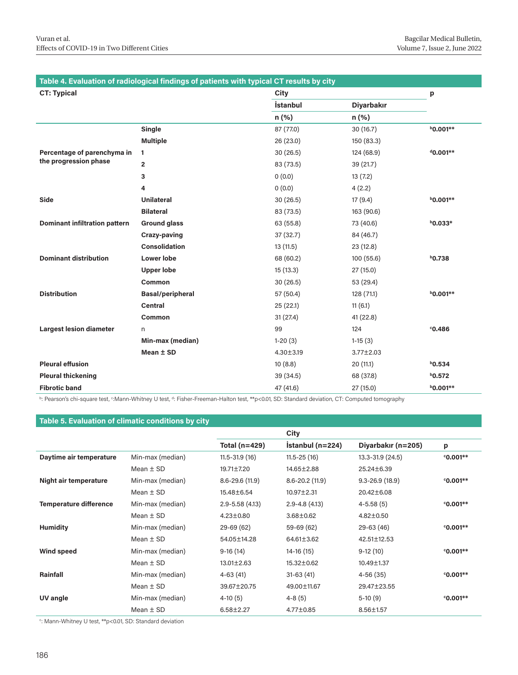| Table 4. Evaluation of radiological findings of patients with typical CT results by city |                         |                 |                   |                 |  |
|------------------------------------------------------------------------------------------|-------------------------|-----------------|-------------------|-----------------|--|
| <b>CT: Typical</b>                                                                       |                         | City            |                   | p               |  |
|                                                                                          |                         | <b>İstanbul</b> | <b>Diyarbakır</b> |                 |  |
|                                                                                          |                         | n (%)           | $n (\%)$          |                 |  |
|                                                                                          | Single                  | 87 (77.0)       | 30(16.7)          | <b>b0.001**</b> |  |
|                                                                                          | <b>Multiple</b>         | 26 (23.0)       | 150 (83.3)        |                 |  |
| Percentage of parenchyma in                                                              | 1                       | 30(26.5)        | 124 (68.9)        | $40.001**$      |  |
| the progression phase                                                                    | $\overline{2}$          | 83 (73.5)       | 39 (21.7)         |                 |  |
|                                                                                          | 3                       | 0(0.0)          | 13(7.2)           |                 |  |
|                                                                                          | 4                       | 0(0.0)          | 4(2.2)            |                 |  |
| <b>Side</b>                                                                              | <b>Unilateral</b>       | 30(26.5)        | 17(9.4)           | $b$ 0.001**     |  |
|                                                                                          | <b>Bilateral</b>        | 83 (73.5)       | 163 (90.6)        |                 |  |
| <b>Dominant infiltration pattern</b>                                                     | <b>Ground glass</b>     | 63 (55.8)       | 73 (40.6)         | $b$ 0.033*      |  |
|                                                                                          | Crazy-paving            | 37 (32.7)       | 84 (46.7)         |                 |  |
|                                                                                          | Consolidation           | 13(11.5)        | 23 (12.8)         |                 |  |
| <b>Dominant distribution</b>                                                             | <b>Lower lobe</b>       | 68 (60.2)       | 100(55.6)         | $b$ 0.738       |  |
|                                                                                          | <b>Upper lobe</b>       | 15(13.3)        | 27(15.0)          |                 |  |
|                                                                                          | Common                  | 30(26.5)        | 53 (29.4)         |                 |  |
| <b>Distribution</b>                                                                      | <b>Basal/peripheral</b> | 57 (50.4)       | 128 (71.1)        | $b$ 0.001**     |  |
|                                                                                          | <b>Central</b>          | 25(22.1)        | 11(6.1)           |                 |  |
|                                                                                          | Common                  | 31(27.4)        | 41(22.8)          |                 |  |
| <b>Largest lesion diameter</b>                                                           | n                       | 99              | 124               | 0.486           |  |
|                                                                                          | Min-max (median)        | $1-20(3)$       | $1-15(3)$         |                 |  |
|                                                                                          | Mean $±$ SD             | $4.30 \pm 3.19$ | $3.77 \pm 2.03$   |                 |  |
| <b>Pleural effusion</b>                                                                  |                         | 10(8.8)         | 20(11.1)          | $b$ 0.534       |  |
| <b>Pleural thickening</b>                                                                |                         | 39 (34.5)       | 68 (37.8)         | $b$ 0.572       |  |
| <b>Fibrotic band</b>                                                                     |                         | 47 (41.6)       | 27 (15.0)         | $b$ 0.001**     |  |

b: Pearson's chi-square test, <sup>c</sup>:Mann-Whitney U test, <sup>d</sup>: Fisher-Freeman-Halton test, \*\*p<0.01, SD: Standard deviation, CT: Computed tomography

# **Table 5. Evaluation of climatic conditions by city**

|                               |                  |                    | City               |                    |            |
|-------------------------------|------------------|--------------------|--------------------|--------------------|------------|
|                               |                  | Total ( $n=429$ )  | $İstandul(n=224)$  | Diyarbakır (n=205) | p          |
| Daytime air temperature       | Min-max (median) | $11.5 - 31.9(16)$  | $11.5 - 25(16)$    | 13.3-31.9 (24.5)   | $°0.001**$ |
|                               | Mean $\pm$ SD    | $19.71 \pm 7.20$   | 14.65±2.88         | $25.24 \pm 6.39$   |            |
| Night air temperature         | Min-max (median) | $8.6 - 29.6(11.9)$ | $8.6 - 20.2(11.9)$ | $9.3 - 26.9(18.9)$ | $0.001**$  |
|                               | Mean $\pm$ SD    | 15.48±6.54         | $10.97 \pm 2.31$   | $20.42 \pm 6.08$   |            |
| <b>Temperature difference</b> | Min-max (median) | $2.9 - 5.58(4.13)$ | $2.9 - 4.8(4.13)$  | $4 - 5.58(5)$      | $°0.001**$ |
|                               | Mean $\pm$ SD    | $4.23 \pm 0.80$    | $3.68 \pm 0.62$    | $4.82 \pm 0.50$    |            |
| <b>Humidity</b>               | Min-max (median) | $29-69(62)$        | 59-69 (62)         | $29-63(46)$        | $0.001**$  |
|                               | Mean $\pm$ SD    | 54.05±14.28        | 64.61±3.62         | 42.51±12.53        |            |
| <b>Wind speed</b>             | Min-max (median) | $9-16(14)$         | 14-16 (15)         | $9-12(10)$         | $0.001**$  |
|                               | Mean $\pm$ SD    | $13.01 \pm 2.63$   | 15,32±0.62         | $10.49 \pm 1.37$   |            |
| Rainfall                      | Min-max (median) | $4-63(41)$         | $31-63(41)$        | $4-56(35)$         | $0.001**$  |
|                               | Mean $\pm$ SD    | 39,67±20,75        | 49.00±11.67        | 29.47±23.55        |            |
| UV angle                      | Min-max (median) | $4-10(5)$          | $4 - 8(5)$         | $5-10(9)$          | $°0.001**$ |
|                               | Mean $\pm$ SD    | $6.58 \pm 2.27$    | 4.77±0.85          | $8.56 \pm 1.57$    |            |

c : Mann-Whitney U test, \*\*p<0.01, SD: Standard deviation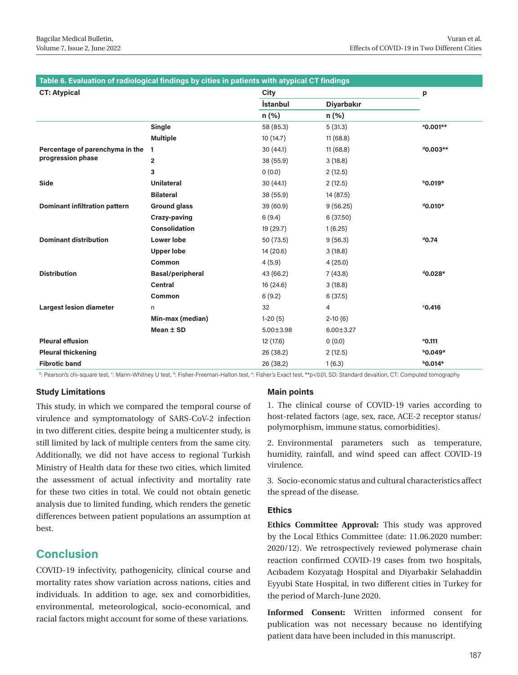| Table 6. Evaluation of radiological findings by cities in patients with atypical CT findings |                         |                 |                   |                      |  |
|----------------------------------------------------------------------------------------------|-------------------------|-----------------|-------------------|----------------------|--|
| <b>CT: Atypical</b>                                                                          |                         | City            |                   | p                    |  |
|                                                                                              |                         | <b>İstanbul</b> | <b>Diyarbakır</b> |                      |  |
|                                                                                              |                         | $n (\%)$        | $n$ (%)           |                      |  |
|                                                                                              | Single                  | 58 (85.3)       | 5(31.3)           | <sup>e</sup> 0.001** |  |
|                                                                                              | <b>Multiple</b>         | 10(14.7)        | 11(68.8)          |                      |  |
| Percentage of parenchyma in the                                                              | 1                       | 30(44.1)        | 11(68.8)          | $d$ 0.003**          |  |
| progression phase                                                                            | $\overline{2}$          | 38 (55.9)       | 3(18.8)           |                      |  |
|                                                                                              | 3                       | 0(0.0)          | 2(12.5)           |                      |  |
| Side                                                                                         | <b>Unilateral</b>       | 30(44.1)        | 2(12.5)           | $b$ 0.019*           |  |
|                                                                                              | <b>Bilateral</b>        | 38 (55.9)       | 14 (87.5)         |                      |  |
| <b>Dominant infiltration pattern</b>                                                         | <b>Ground glass</b>     | 39 (60.9)       | 9(56.25)          | $^{4}$ 0.010 $^{*}$  |  |
|                                                                                              | Crazy-paving            | 6(9.4)          | 6(37.50)          |                      |  |
|                                                                                              | <b>Consolidation</b>    | 19 (29.7)       | 1(6.25)           |                      |  |
| <b>Dominant distribution</b>                                                                 | <b>Lower lobe</b>       | 50 (73.5)       | 9(56.3)           | $^{d}$ 0.74          |  |
|                                                                                              | <b>Upper lobe</b>       | 14 (20.6)       | 3(18.8)           |                      |  |
|                                                                                              | Common                  | 4(5.9)          | 4(25.0)           |                      |  |
| <b>Distribution</b>                                                                          | <b>Basal/peripheral</b> | 43 (66.2)       | 7(43.8)           | $^{d}$ 0.028*        |  |
|                                                                                              | <b>Central</b>          | 16 (24.6)       | 3(18.8)           |                      |  |
|                                                                                              | Common                  | 6(9.2)          | 6(37.5)           |                      |  |
| <b>Largest lesion diameter</b>                                                               | n.                      | 32              | 4                 | 0.416                |  |
|                                                                                              | Min-max (median)        | $1-20(5)$       | $2-10(6)$         |                      |  |
|                                                                                              | Mean $±$ SD             | $5.00 \pm 3.98$ | $6.00 \pm 3.27$   |                      |  |
| <b>Pleural effusion</b>                                                                      |                         | 12 (17.6)       | 0(0.0)            | $^{\circ}$ 0.111     |  |
| <b>Pleural thickening</b>                                                                    |                         | 26 (38.2)       | 2(12.5)           | $b$ 0.049*           |  |
| <b>Fibrotic band</b>                                                                         |                         | 26 (38.2)       | 1(6.3)            | $b$ 0.014*           |  |

b: Pearson's chi-square test, <sup>c</sup>: Mann-Whitney U test, <sup>d</sup>: Fisher-Freeman-Halton test, °: Fisher's Exact test, \*\*p<0.01, SD: Standard devaition, CT: Computed tomography

## **Study Limitations**

This study, in which we compared the temporal course of virulence and symptomatology of SARS-CoV-2 infection in two different cities, despite being a multicenter study, is still limited by lack of multiple centers from the same city. Additionally, we did not have access to regional Turkish Ministry of Health data for these two cities, which limited the assessment of actual infectivity and mortality rate for these two cities in total. We could not obtain genetic analysis due to limited funding, which renders the genetic differences between patient populations an assumption at best.

# **Conclusion**

COVID-19 infectivity, pathogenicity, clinical course and mortality rates show variation across nations, cities and individuals. In addition to age, sex and comorbidities, environmental, meteorological, socio-economical, and racial factors might account for some of these variations.

# **Main points**

1. The clinical course of COVID-19 varies according to host-related factors (age, sex, race, ACE-2 receptor status/ polymorphism, immune status, comorbidities).

2. Environmental parameters such as temperature, humidity, rainfall, and wind speed can affect COVID-19 virulence.

3. Socio-economic status and cultural characteristics affect the spread of the disease.

## **Ethics**

**Ethics Committee Approval:** This study was approved by the Local Ethics Committee (date: 11.06.2020 number: 2020/12). We retrospectively reviewed polymerase chain reaction confirmed COVID-19 cases from two hospitals, Acıbadem Kozyatağı Hospital and Diyarbakir Selahaddin Eyyubi State Hospital, in two different cities in Turkey for the period of March-June 2020.

**Informed Consent:** Written informed consent for publication was not necessary because no identifying patient data have been included in this manuscript.